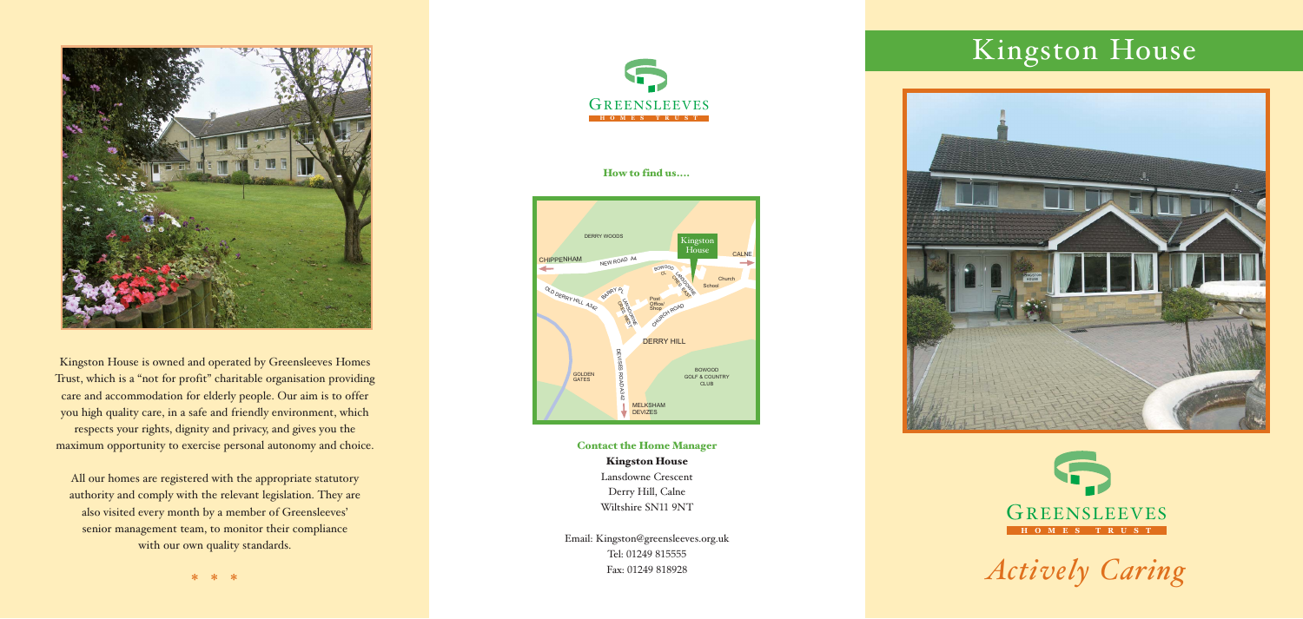# Kingston House





*Actively Caring*

Contact the Home Manager Kingston House Lansdowne Crescent

Derry Hill, Calne Wiltshire SN11 9NT

Email: Kingston@greensleeves.org.uk Tel: 01249 815555 Fax: 01249 818928



Kingston House is owned and operated by Greensleeves Homes Trust, which is a "not for profit" charitable organisation providing care and accommodation for elderly people. Our aim is to offer you high quality care, in a safe and friendly environment, which respects your rights, dignity and privacy, and gives you the maximum opportunity to exercise personal autonomy and choice.

All our homes are registered with the appropriate statutory authority and comply with the relevant legislation. They are also visited every month by a member of Greensleeves' senior management team, to monitor their compliance with our own quality standards.



#### How to find us....